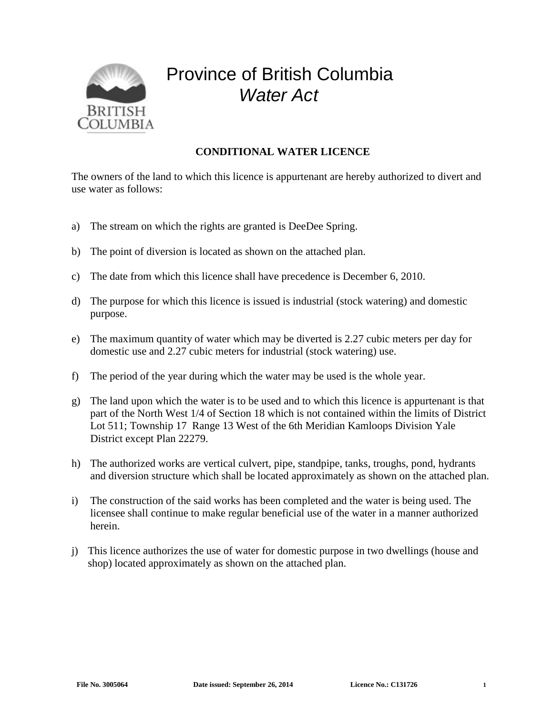

## Province of British Columbia *Water Act*

## **CONDITIONAL WATER LICENCE**

The owners of the land to which this licence is appurtenant are hereby authorized to divert and use water as follows:

- a) The stream on which the rights are granted is DeeDee Spring.
- b) The point of diversion is located as shown on the attached plan.
- c) The date from which this licence shall have precedence is December 6, 2010.
- d) The purpose for which this licence is issued is industrial (stock watering) and domestic purpose.
- e) The maximum quantity of water which may be diverted is 2.27 cubic meters per day for domestic use and 2.27 cubic meters for industrial (stock watering) use.
- f) The period of the year during which the water may be used is the whole year.
- g) The land upon which the water is to be used and to which this licence is appurtenant is that part of the North West 1/4 of Section 18 which is not contained within the limits of District Lot 511; Township 17 Range 13 West of the 6th Meridian Kamloops Division Yale District except Plan 22279.
- h) The authorized works are vertical culvert, pipe, standpipe, tanks, troughs, pond, hydrants and diversion structure which shall be located approximately as shown on the attached plan.
- i) The construction of the said works has been completed and the water is being used. The licensee shall continue to make regular beneficial use of the water in a manner authorized herein.
- j) This licence authorizes the use of water for domestic purpose in two dwellings (house and shop) located approximately as shown on the attached plan.